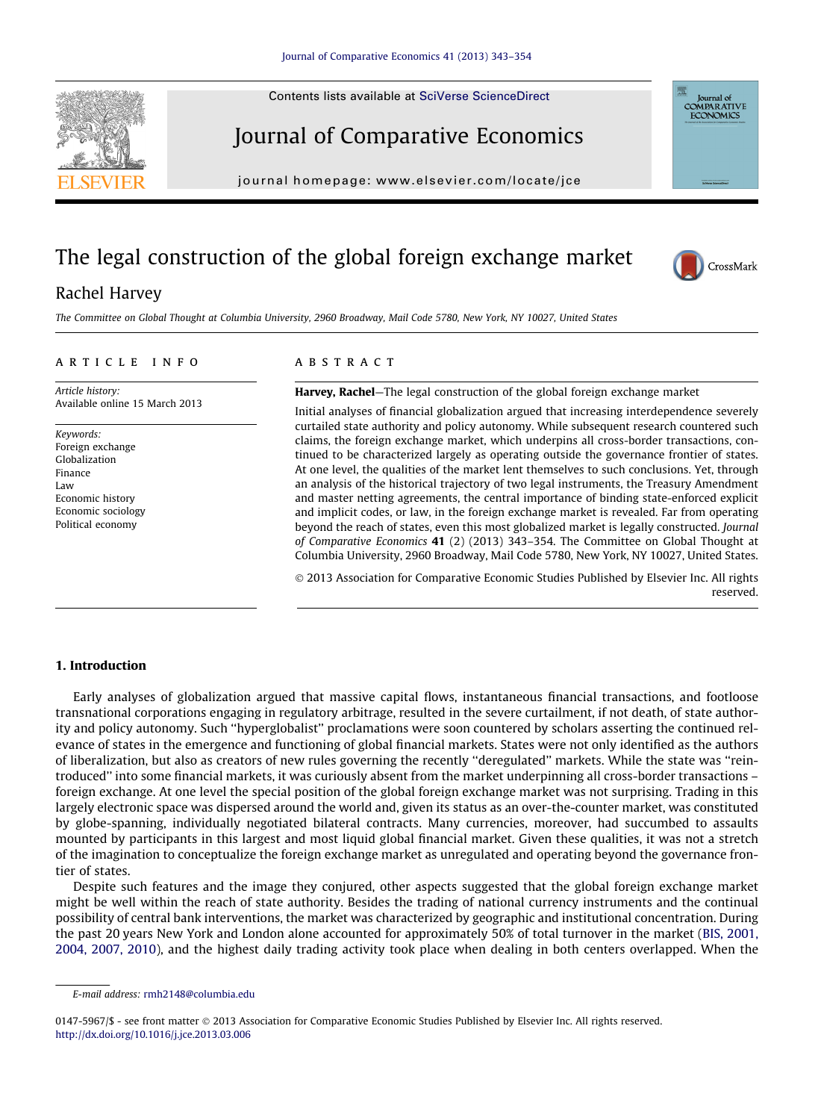Contents lists available at [SciVerse ScienceDirect](http://www.sciencedirect.com/science/journal/01475967)



journal homepage: [www.elsevier.com/locate/jce](http://www.elsevier.com/locate/jce)

## The legal construction of the global foreign exchange market

### Rachel Harvey

The Committee on Global Thought at Columbia University, 2960 Broadway, Mail Code 5780, New York, NY 10027, United States

#### article info

Article history: Available online 15 March 2013

Keywords: Foreign exchange Globalization Finance Law Economic history Economic sociology Political economy

#### **ARSTRACT**

Harvey, Rachel—The legal construction of the global foreign exchange market

Initial analyses of financial globalization argued that increasing interdependence severely curtailed state authority and policy autonomy. While subsequent research countered such claims, the foreign exchange market, which underpins all cross-border transactions, continued to be characterized largely as operating outside the governance frontier of states. At one level, the qualities of the market lent themselves to such conclusions. Yet, through an analysis of the historical trajectory of two legal instruments, the Treasury Amendment and master netting agreements, the central importance of binding state-enforced explicit and implicit codes, or law, in the foreign exchange market is revealed. Far from operating beyond the reach of states, even this most globalized market is legally constructed. Journal of Comparative Economics 41 (2) (2013) 343–354. The Committee on Global Thought at Columbia University, 2960 Broadway, Mail Code 5780, New York, NY 10027, United States.

© 2013 Association for Comparative Economic Studies Published by Elsevier Inc. All rights reserved.

#### 1. Introduction

Early analyses of globalization argued that massive capital flows, instantaneous financial transactions, and footloose transnational corporations engaging in regulatory arbitrage, resulted in the severe curtailment, if not death, of state authority and policy autonomy. Such ''hyperglobalist'' proclamations were soon countered by scholars asserting the continued relevance of states in the emergence and functioning of global financial markets. States were not only identified as the authors of liberalization, but also as creators of new rules governing the recently ''deregulated'' markets. While the state was ''reintroduced'' into some financial markets, it was curiously absent from the market underpinning all cross-border transactions – foreign exchange. At one level the special position of the global foreign exchange market was not surprising. Trading in this largely electronic space was dispersed around the world and, given its status as an over-the-counter market, was constituted by globe-spanning, individually negotiated bilateral contracts. Many currencies, moreover, had succumbed to assaults mounted by participants in this largest and most liquid global financial market. Given these qualities, it was not a stretch of the imagination to conceptualize the foreign exchange market as unregulated and operating beyond the governance frontier of states.

Despite such features and the image they conjured, other aspects suggested that the global foreign exchange market might be well within the reach of state authority. Besides the trading of national currency instruments and the continual possibility of central bank interventions, the market was characterized by geographic and institutional concentration. During the past 20 years New York and London alone accounted for approximately 50% of total turnover in the market [\(BIS, 2001,](#page--1-0) [2004, 2007, 2010\)](#page--1-0), and the highest daily trading activity took place when dealing in both centers overlapped. When the







E-mail address: [rmh2148@columbia.edu](mailto:rmh2148@columbia.edu)

<sup>0147-5967/\$ -</sup> see front matter © 2013 Association for Comparative Economic Studies Published by Elsevier Inc. All rights reserved. <http://dx.doi.org/10.1016/j.jce.2013.03.006>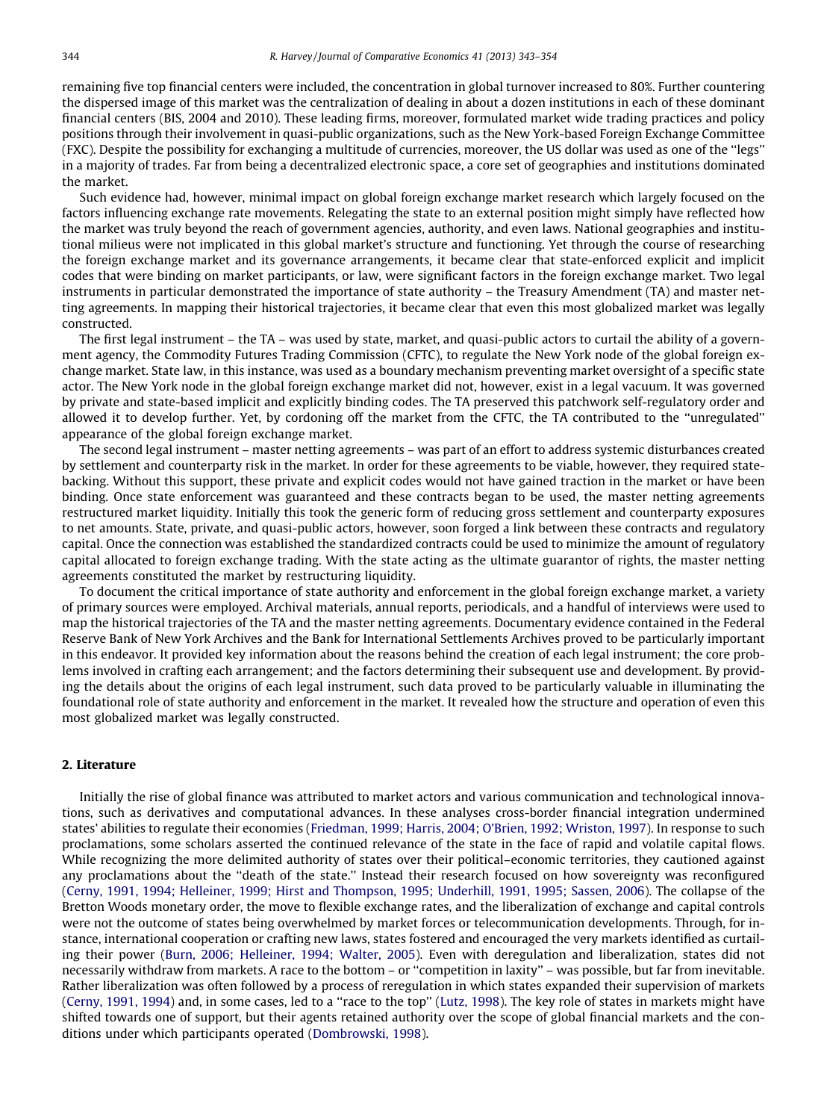remaining five top financial centers were included, the concentration in global turnover increased to 80%. Further countering the dispersed image of this market was the centralization of dealing in about a dozen institutions in each of these dominant financial centers (BIS, 2004 and 2010). These leading firms, moreover, formulated market wide trading practices and policy positions through their involvement in quasi-public organizations, such as the New York-based Foreign Exchange Committee (FXC). Despite the possibility for exchanging a multitude of currencies, moreover, the US dollar was used as one of the ''legs'' in a majority of trades. Far from being a decentralized electronic space, a core set of geographies and institutions dominated the market.

Such evidence had, however, minimal impact on global foreign exchange market research which largely focused on the factors influencing exchange rate movements. Relegating the state to an external position might simply have reflected how the market was truly beyond the reach of government agencies, authority, and even laws. National geographies and institutional milieus were not implicated in this global market's structure and functioning. Yet through the course of researching the foreign exchange market and its governance arrangements, it became clear that state-enforced explicit and implicit codes that were binding on market participants, or law, were significant factors in the foreign exchange market. Two legal instruments in particular demonstrated the importance of state authority – the Treasury Amendment (TA) and master netting agreements. In mapping their historical trajectories, it became clear that even this most globalized market was legally constructed.

The first legal instrument – the TA – was used by state, market, and quasi-public actors to curtail the ability of a government agency, the Commodity Futures Trading Commission (CFTC), to regulate the New York node of the global foreign exchange market. State law, in this instance, was used as a boundary mechanism preventing market oversight of a specific state actor. The New York node in the global foreign exchange market did not, however, exist in a legal vacuum. It was governed by private and state-based implicit and explicitly binding codes. The TA preserved this patchwork self-regulatory order and allowed it to develop further. Yet, by cordoning off the market from the CFTC, the TA contributed to the ''unregulated'' appearance of the global foreign exchange market.

The second legal instrument – master netting agreements – was part of an effort to address systemic disturbances created by settlement and counterparty risk in the market. In order for these agreements to be viable, however, they required statebacking. Without this support, these private and explicit codes would not have gained traction in the market or have been binding. Once state enforcement was guaranteed and these contracts began to be used, the master netting agreements restructured market liquidity. Initially this took the generic form of reducing gross settlement and counterparty exposures to net amounts. State, private, and quasi-public actors, however, soon forged a link between these contracts and regulatory capital. Once the connection was established the standardized contracts could be used to minimize the amount of regulatory capital allocated to foreign exchange trading. With the state acting as the ultimate guarantor of rights, the master netting agreements constituted the market by restructuring liquidity.

To document the critical importance of state authority and enforcement in the global foreign exchange market, a variety of primary sources were employed. Archival materials, annual reports, periodicals, and a handful of interviews were used to map the historical trajectories of the TA and the master netting agreements. Documentary evidence contained in the Federal Reserve Bank of New York Archives and the Bank for International Settlements Archives proved to be particularly important in this endeavor. It provided key information about the reasons behind the creation of each legal instrument; the core problems involved in crafting each arrangement; and the factors determining their subsequent use and development. By providing the details about the origins of each legal instrument, such data proved to be particularly valuable in illuminating the foundational role of state authority and enforcement in the market. It revealed how the structure and operation of even this most globalized market was legally constructed.

#### 2. Literature

Initially the rise of global finance was attributed to market actors and various communication and technological innovations, such as derivatives and computational advances. In these analyses cross-border financial integration undermined states' abilities to regulate their economies [\(Friedman, 1999; Harris, 2004; O'Brien, 1992; Wriston, 1997\)](#page--1-0). In response to such proclamations, some scholars asserted the continued relevance of the state in the face of rapid and volatile capital flows. While recognizing the more delimited authority of states over their political–economic territories, they cautioned against any proclamations about the "death of the state." Instead their research focused on how sovereignty was reconfigured [\(Cerny, 1991, 1994; Helleiner, 1999; Hirst and Thompson, 1995; Underhill, 1991, 1995; Sassen, 2006\)](#page--1-0). The collapse of the Bretton Woods monetary order, the move to flexible exchange rates, and the liberalization of exchange and capital controls were not the outcome of states being overwhelmed by market forces or telecommunication developments. Through, for instance, international cooperation or crafting new laws, states fostered and encouraged the very markets identified as curtailing their power ([Burn, 2006; Helleiner, 1994; Walter, 2005\)](#page--1-0). Even with deregulation and liberalization, states did not necessarily withdraw from markets. A race to the bottom – or ''competition in laxity'' – was possible, but far from inevitable. Rather liberalization was often followed by a process of reregulation in which states expanded their supervision of markets [\(Cerny, 1991, 1994\)](#page--1-0) and, in some cases, led to a ''race to the top'' [\(Lutz, 1998\)](#page--1-0). The key role of states in markets might have shifted towards one of support, but their agents retained authority over the scope of global financial markets and the conditions under which participants operated ([Dombrowski, 1998](#page--1-0)).